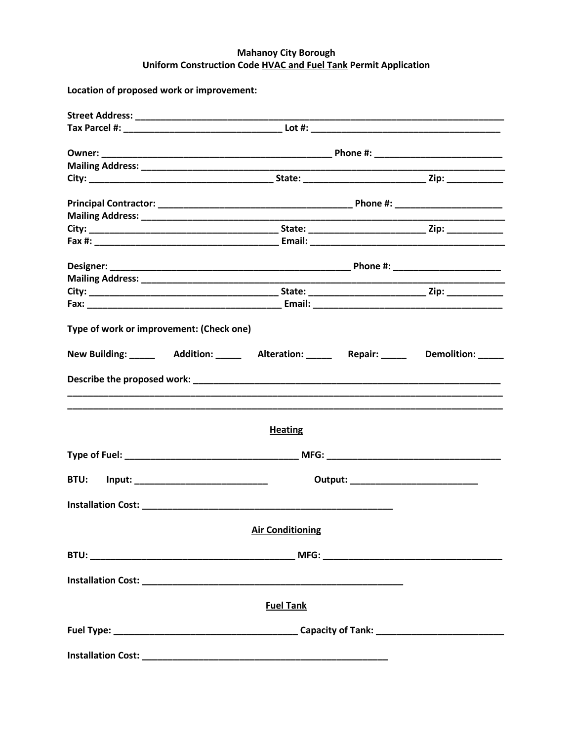## **Mahanoy City Borough** Uniform Construction Code HVAC and Fuel Tank Permit Application

Location of proposed work or improvement:

| Type of work or improvement: (Check one)                                                           |  |  |
|----------------------------------------------------------------------------------------------------|--|--|
| New Building: _______  Addition: _______  Alteration: _______  Repair: _______  Demolition: ______ |  |  |
|                                                                                                    |  |  |
| <b>Heating</b>                                                                                     |  |  |
|                                                                                                    |  |  |
| BTU: Input: ________________________________                                                       |  |  |
|                                                                                                    |  |  |
| <b>Air Conditioning</b>                                                                            |  |  |
|                                                                                                    |  |  |
|                                                                                                    |  |  |
| <b>Fuel Tank</b>                                                                                   |  |  |
|                                                                                                    |  |  |
|                                                                                                    |  |  |